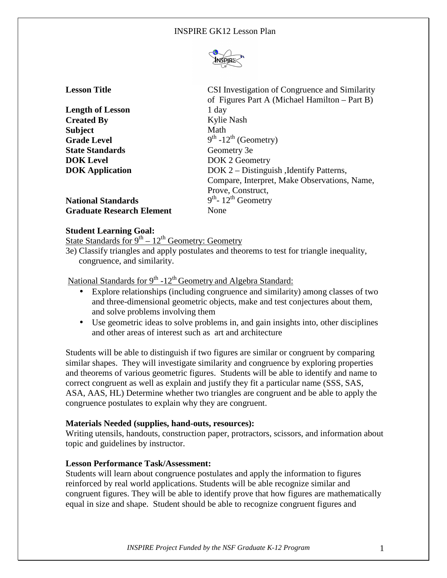

| <b>Lesson Title</b>              | CSI Investigation of Congruence and Similarity<br>of Figures Part A (Michael Hamilton – Part B) |
|----------------------------------|-------------------------------------------------------------------------------------------------|
| <b>Length of Lesson</b>          | 1 day                                                                                           |
| <b>Created By</b>                | Kylie Nash                                                                                      |
| <b>Subject</b>                   | Math                                                                                            |
| <b>Grade Level</b>               | $9th -12th$ (Geometry)                                                                          |
| <b>State Standards</b>           | Geometry 3e                                                                                     |
| <b>DOK</b> Level                 | DOK 2 Geometry                                                                                  |
| <b>DOK</b> Application           | DOK 2 – Distinguish, Identify Patterns,                                                         |
|                                  | Compare, Interpret, Make Observations, Name,                                                    |
|                                  | Prove, Construct,                                                                               |
| <b>National Standards</b>        | $9th$ - 12 <sup>th</sup> Geometry                                                               |
| <b>Graduate Research Element</b> | None                                                                                            |

### **Student Learning Goal:**

State Standards for  $9^{th} - 12^{th}$  Geometry: Geometry

3e) Classify triangles and apply postulates and theorems to test for triangle inequality, congruence, and similarity.

National Standards for  $9<sup>th</sup> -12<sup>th</sup>$  Geometry and Algebra Standard:

- Explore relationships (including congruence and similarity) among classes of two and three-dimensional geometric objects, make and test conjectures about them, and solve problems involving them
- Use geometric ideas to solve problems in, and gain insights into, other disciplines and other areas of interest such as art and architecture

Students will be able to distinguish if two figures are similar or congruent by comparing similar shapes. They will investigate similarity and congruence by exploring properties and theorems of various geometric figures. Students will be able to identify and name to correct congruent as well as explain and justify they fit a particular name (SSS, SAS, ASA, AAS, HL) Determine whether two triangles are congruent and be able to apply the congruence postulates to explain why they are congruent.

# **Materials Needed (supplies, hand-outs, resources):**

Writing utensils, handouts, construction paper, protractors, scissors, and information about topic and guidelines by instructor.

# **Lesson Performance Task/Assessment:**

Students will learn about congruence postulates and apply the information to figures reinforced by real world applications. Students will be able recognize similar and congruent figures. They will be able to identify prove that how figures are mathematically equal in size and shape. Student should be able to recognize congruent figures and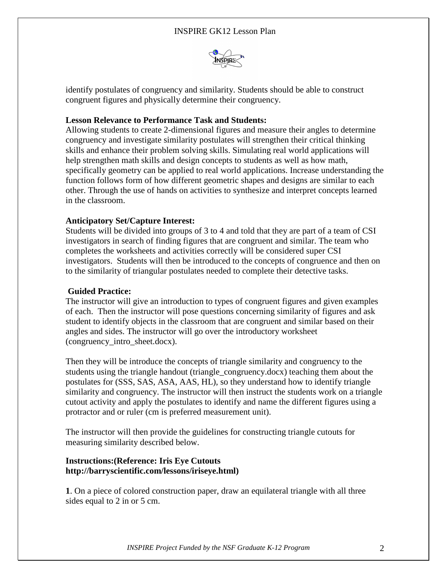

identify postulates of congruency and similarity. Students should be able to construct congruent figures and physically determine their congruency.

# **Lesson Relevance to Performance Task and Students:**

Allowing students to create 2-dimensional figures and measure their angles to determine congruency and investigate similarity postulates will strengthen their critical thinking skills and enhance their problem solving skills. Simulating real world applications will help strengthen math skills and design concepts to students as well as how math, specifically geometry can be applied to real world applications. Increase understanding the function follows form of how different geometric shapes and designs are similar to each other. Through the use of hands on activities to synthesize and interpret concepts learned in the classroom.

# **Anticipatory Set/Capture Interest:**

Students will be divided into groups of 3 to 4 and told that they are part of a team of CSI investigators in search of finding figures that are congruent and similar. The team who completes the worksheets and activities correctly will be considered super CSI investigators. Students will then be introduced to the concepts of congruence and then on to the similarity of triangular postulates needed to complete their detective tasks.

#### **Guided Practice:**

The instructor will give an introduction to types of congruent figures and given examples of each. Then the instructor will pose questions concerning similarity of figures and ask student to identify objects in the classroom that are congruent and similar based on their angles and sides. The instructor will go over the introductory worksheet (congruency\_intro\_sheet.docx).

Then they will be introduce the concepts of triangle similarity and congruency to the students using the triangle handout (triangle\_congruency.docx) teaching them about the postulates for (SSS, SAS, ASA, AAS, HL), so they understand how to identify triangle similarity and congruency. The instructor will then instruct the students work on a triangle cutout activity and apply the postulates to identify and name the different figures using a protractor and or ruler (cm is preferred measurement unit).

The instructor will then provide the guidelines for constructing triangle cutouts for measuring similarity described below.

### **Instructions:(Reference: Iris Eye Cutouts http://barryscientific.com/lessons/iriseye.html)**

**1**. On a piece of colored construction paper, draw an equilateral triangle with all three sides equal to 2 in or 5 cm.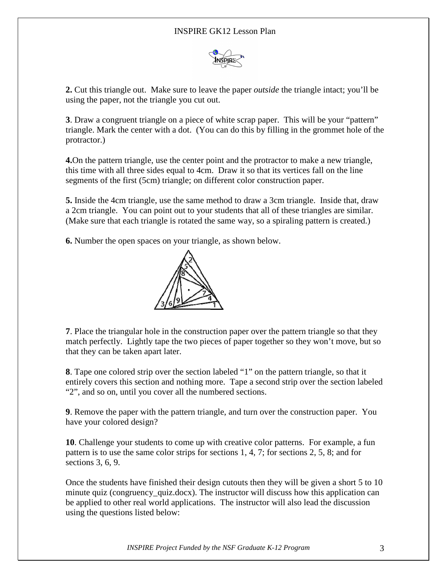

**2.** Cut this triangle out. Make sure to leave the paper *outside* the triangle intact; you'll be using the paper, not the triangle you cut out.

**3**. Draw a congruent triangle on a piece of white scrap paper. This will be your "pattern" triangle. Mark the center with a dot. (You can do this by filling in the grommet hole of the protractor.)

**4.**On the pattern triangle, use the center point and the protractor to make a new triangle, this time with all three sides equal to 4cm. Draw it so that its vertices fall on the line segments of the first (5cm) triangle; on different color construction paper.

**5.** Inside the 4cm triangle, use the same method to draw a 3cm triangle. Inside that, draw a 2cm triangle. You can point out to your students that all of these triangles are similar. (Make sure that each triangle is rotated the same way, so a spiraling pattern is created.)

**6.** Number the open spaces on your triangle, as shown below.



**7**. Place the triangular hole in the construction paper over the pattern triangle so that they match perfectly. Lightly tape the two pieces of paper together so they won't move, but so that they can be taken apart later.

**8**. Tape one colored strip over the section labeled "1" on the pattern triangle, so that it entirely covers this section and nothing more. Tape a second strip over the section labeled "2", and so on, until you cover all the numbered sections.

**9**. Remove the paper with the pattern triangle, and turn over the construction paper. You have your colored design?

**10**. Challenge your students to come up with creative color patterns. For example, a fun pattern is to use the same color strips for sections 1, 4, 7; for sections 2, 5, 8; and for sections 3, 6, 9.

Once the students have finished their design cutouts then they will be given a short 5 to 10 minute quiz (congruency\_quiz.docx). The instructor will discuss how this application can be applied to other real world applications. The instructor will also lead the discussion using the questions listed below: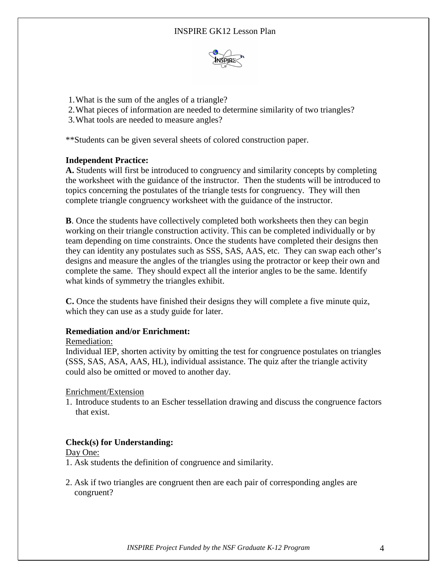

- 1.What is the sum of the angles of a triangle?
- 2.What pieces of information are needed to determine similarity of two triangles?
- 3.What tools are needed to measure angles?

\*\*Students can be given several sheets of colored construction paper.

# **Independent Practice:**

**A.** Students will first be introduced to congruency and similarity concepts by completing the worksheet with the guidance of the instructor. Then the students will be introduced to topics concerning the postulates of the triangle tests for congruency. They will then complete triangle congruency worksheet with the guidance of the instructor.

**B**. Once the students have collectively completed both worksheets then they can begin working on their triangle construction activity. This can be completed individually or by team depending on time constraints. Once the students have completed their designs then they can identity any postulates such as SSS, SAS, AAS, etc. They can swap each other's designs and measure the angles of the triangles using the protractor or keep their own and complete the same. They should expect all the interior angles to be the same. Identify what kinds of symmetry the triangles exhibit.

**C.** Once the students have finished their designs they will complete a five minute quiz, which they can use as a study guide for later.

# **Remediation and/or Enrichment:**

# Remediation:

Individual IEP, shorten activity by omitting the test for congruence postulates on triangles (SSS, SAS, ASA, AAS, HL), individual assistance. The quiz after the triangle activity could also be omitted or moved to another day.

Enrichment/Extension

1. Introduce students to an Escher tessellation drawing and discuss the congruence factors that exist.

# **Check(s) for Understanding:**

# Day One:

- 1. Ask students the definition of congruence and similarity.
- 2. Ask if two triangles are congruent then are each pair of corresponding angles are congruent?